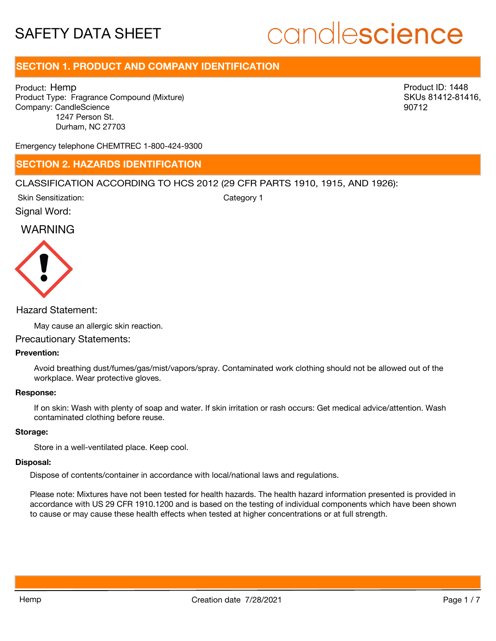# candlescience

## **SECTION 1. PRODUCT AND COMPANY IDENTIFICATION**

Product: Hemp Product Type: Fragrance Compound (Mixture) Company: CandleScience 1247 Person St. Durham, NC 27703

Product ID: 1448 SKUs 81412-81416, 90712

Emergency telephone CHEMTREC 1-800-424-9300

## **SECTION 2. HAZARDS IDENTIFICATION**

## CLASSIFICATION ACCORDING TO HCS 2012 (29 CFR PARTS 1910, 1915, AND 1926):

Skin Sensitization:

Category 1

Signal Word:

## WARNING



## Hazard Statement:

May cause an allergic skin reaction.

### Precautionary Statements:

## **Prevention:**

Avoid breathing dust/fumes/gas/mist/vapors/spray. Contaminated work clothing should not be allowed out of the workplace. Wear protective gloves.

#### **Response:**

If on skin: Wash with plenty of soap and water. If skin irritation or rash occurs: Get medical advice/attention. Wash contaminated clothing before reuse.

#### **Storage:**

Store in a well-ventilated place. Keep cool.

#### **Disposal:**

Dispose of contents/container in accordance with local/national laws and regulations.

Please note: Mixtures have not been tested for health hazards. The health hazard information presented is provided in accordance with US 29 CFR 1910.1200 and is based on the testing of individual components which have been shown to cause or may cause these health effects when tested at higher concentrations or at full strength.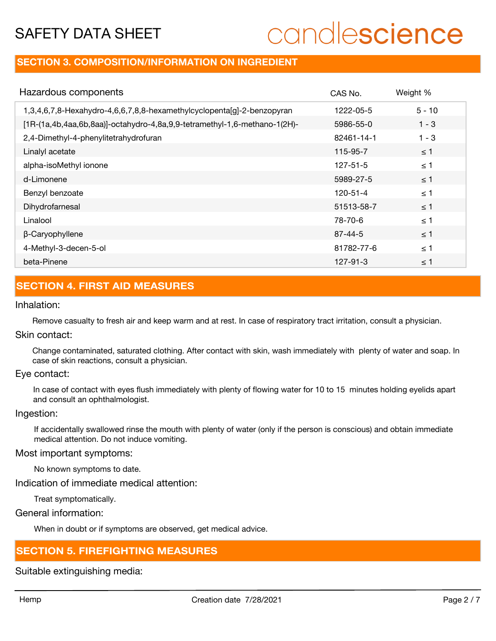# candlescience

## **SECTION 3. COMPOSITION/INFORMATION ON INGREDIENT**

| Hazardous components                                                      | CAS No.        | Weight % |
|---------------------------------------------------------------------------|----------------|----------|
| 1,3,4,6,7,8-Hexahydro-4,6,6,7,8,8-hexamethylcyclopenta[g]-2-benzopyran    | 1222-05-5      | $5 - 10$ |
| [1R-(1a,4b,4aa,6b,8aa)]-octahydro-4,8a,9,9-tetramethyl-1,6-methano-1(2H)- | 5986-55-0      | $1 - 3$  |
| 2,4-Dimethyl-4-phenylitetrahydrofuran                                     | 82461-14-1     | $1 - 3$  |
| Linalyl acetate                                                           | 115-95-7       | $\leq$ 1 |
| alpha-isoMethyl ionone                                                    | $127 - 51 - 5$ | $\leq$ 1 |
| d-Limonene                                                                | 5989-27-5      | $\leq$ 1 |
| Benzyl benzoate                                                           | 120-51-4       | $\leq$ 1 |
| Dihydrofarnesal                                                           | 51513-58-7     | $\leq$ 1 |
| Linalool                                                                  | 78-70-6        | $\leq$ 1 |
| β-Caryophyllene                                                           | $87 - 44 - 5$  | $\leq$ 1 |
| 4-Methyl-3-decen-5-ol                                                     | 81782-77-6     | $\leq$ 1 |
| beta-Pinene                                                               | $127 - 91 - 3$ | $\leq$ 1 |

## **SECTION 4. FIRST AID MEASURES**

## Inhalation:

Remove casualty to fresh air and keep warm and at rest. In case of respiratory tract irritation, consult a physician.

## Skin contact:

Change contaminated, saturated clothing. After contact with skin, wash immediately with plenty of water and soap. In case of skin reactions, consult a physician.

#### Eye contact:

In case of contact with eyes flush immediately with plenty of flowing water for 10 to 15 minutes holding eyelids apart and consult an ophthalmologist.

## Ingestion:

If accidentally swallowed rinse the mouth with plenty of water (only if the person is conscious) and obtain immediate medical attention. Do not induce vomiting.

## Most important symptoms:

No known symptoms to date.

Indication of immediate medical attention:

Treat symptomatically.

## General information:

When in doubt or if symptoms are observed, get medical advice.

## **SECTION 5. FIREFIGHTING MEASURES**

Suitable extinguishing media: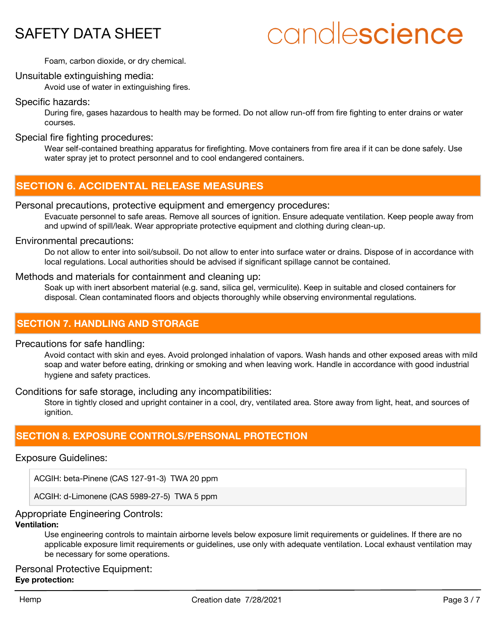# candlescience

Foam, carbon dioxide, or dry chemical.

## Unsuitable extinguishing media:

Avoid use of water in extinguishing fires.

## Specific hazards:

During fire, gases hazardous to health may be formed. Do not allow run-off from fire fighting to enter drains or water courses.

## Special fire fighting procedures:

Wear self-contained breathing apparatus for firefighting. Move containers from fire area if it can be done safely. Use water spray jet to protect personnel and to cool endangered containers.

## **SECTION 6. ACCIDENTAL RELEASE MEASURES**

## Personal precautions, protective equipment and emergency procedures:

Evacuate personnel to safe areas. Remove all sources of ignition. Ensure adequate ventilation. Keep people away from and upwind of spill/leak. Wear appropriate protective equipment and clothing during clean-up.

#### Environmental precautions:

Do not allow to enter into soil/subsoil. Do not allow to enter into surface water or drains. Dispose of in accordance with local regulations. Local authorities should be advised if significant spillage cannot be contained.

## Methods and materials for containment and cleaning up:

Soak up with inert absorbent material (e.g. sand, silica gel, vermiculite). Keep in suitable and closed containers for disposal. Clean contaminated floors and objects thoroughly while observing environmental regulations.

## **SECTION 7. HANDLING AND STORAGE**

#### Precautions for safe handling:

Avoid contact with skin and eyes. Avoid prolonged inhalation of vapors. Wash hands and other exposed areas with mild soap and water before eating, drinking or smoking and when leaving work. Handle in accordance with good industrial hygiene and safety practices.

Conditions for safe storage, including any incompatibilities:

Store in tightly closed and upright container in a cool, dry, ventilated area. Store away from light, heat, and sources of ianition.

## **SECTION 8. EXPOSURE CONTROLS/PERSONAL PROTECTION**

## Exposure Guidelines:

ACGIH: beta-Pinene (CAS 127-91-3) TWA 20 ppm

ACGIH: d-Limonene (CAS 5989-27-5) TWA 5 ppm

## Appropriate Engineering Controls:

## **Ventilation:**

Use engineering controls to maintain airborne levels below exposure limit requirements or guidelines. If there are no applicable exposure limit requirements or guidelines, use only with adequate ventilation. Local exhaust ventilation may be necessary for some operations.

Personal Protective Equipment: **Eye protection:**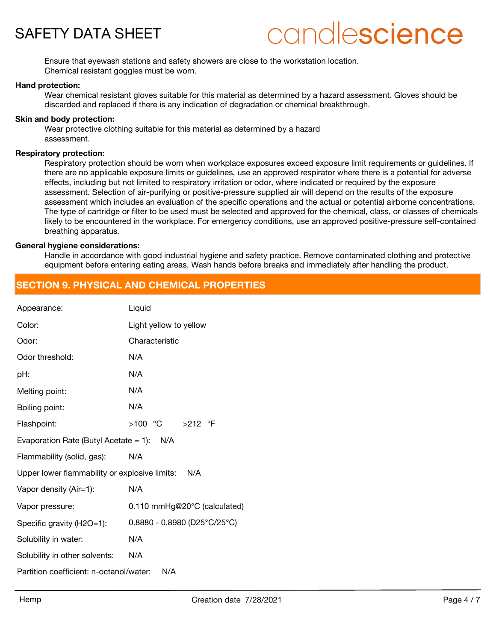

## candlescience

Ensure that eyewash stations and safety showers are close to the workstation location. Chemical resistant goggles must be worn.

#### **Hand protection:**

Wear chemical resistant gloves suitable for this material as determined by a hazard assessment. Gloves should be discarded and replaced if there is any indication of degradation or chemical breakthrough.

#### **Skin and body protection:**

Wear protective clothing suitable for this material as determined by a hazard assessment.

#### **Respiratory protection:**

Respiratory protection should be worn when workplace exposures exceed exposure limit requirements or guidelines. If there are no applicable exposure limits or guidelines, use an approved respirator where there is a potential for adverse effects, including but not limited to respiratory irritation or odor, where indicated or required by the exposure assessment. Selection of air-purifying or positive-pressure supplied air will depend on the results of the exposure assessment which includes an evaluation of the specific operations and the actual or potential airborne concentrations. The type of cartridge or filter to be used must be selected and approved for the chemical, class, or classes of chemicals likely to be encountered in the workplace. For emergency conditions, use an approved positive-pressure self-contained breathing apparatus.

## **General hygiene considerations:**

Handle in accordance with good industrial hygiene and safety practice. Remove contaminated clothing and protective equipment before entering eating areas. Wash hands before breaks and immediately after handling the product.

## **SECTION 9. PHYSICAL AND CHEMICAL PROPERTIES**

| Appearance:                                          | Liquid                         |  |
|------------------------------------------------------|--------------------------------|--|
| Color:                                               | Light yellow to yellow         |  |
| Odor:                                                | Characteristic                 |  |
| Odor threshold:                                      | N/A                            |  |
| pH:                                                  | N/A                            |  |
| Melting point:                                       | N/A                            |  |
| Boiling point:                                       | N/A                            |  |
| Flashpoint:                                          |                                |  |
| Evaporation Rate (Butyl Acetate = 1): $N/A$          |                                |  |
| Flammability (solid, gas):                           | N/A                            |  |
| Upper lower flammability or explosive limits:<br>N/A |                                |  |
| Vapor density (Air=1):                               | N/A                            |  |
| Vapor pressure:                                      | 0.110 mmHg@20°C (calculated)   |  |
| Specific gravity (H2O=1):                            | $0.8880 - 0.8980$ (D25°C/25°C) |  |
| Solubility in water:                                 | N/A                            |  |
| Solubility in other solvents:                        | N/A                            |  |
| Partition coefficient: n-octanol/water:<br>N/A       |                                |  |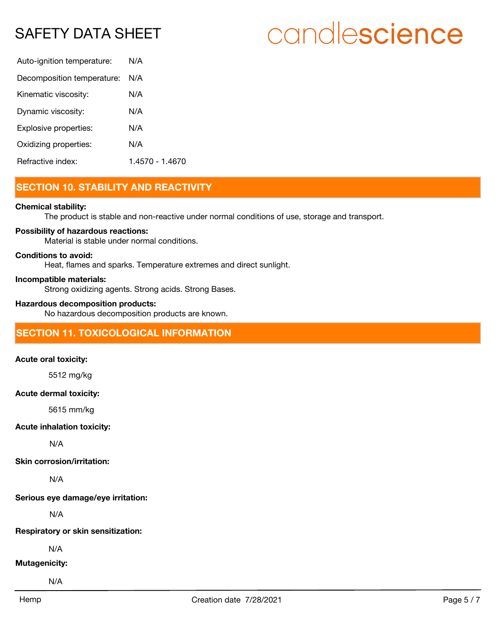# candlescience

| Auto-ignition temperature: | N/A             |
|----------------------------|-----------------|
| Decomposition temperature: | N/A             |
| Kinematic viscosity:       | N/A             |
| Dynamic viscosity:         | N/A             |
| Explosive properties:      | N/A             |
| Oxidizing properties:      | N/A             |
| Refractive index:          | 1 4570 - 1 4670 |

## **SECTION 10. STABILITY AND REACTIVITY**

## **Chemical stability:**

The product is stable and non-reactive under normal conditions of use, storage and transport.

## **Possibility of hazardous reactions:**

Material is stable under normal conditions.

## **Conditions to avoid:**

Heat, flames and sparks. Temperature extremes and direct sunlight.

## **Incompatible materials:**

Strong oxidizing agents. Strong acids. Strong Bases.

### **Hazardous decomposition products:**

No hazardous decomposition products are known.

## **SECTION 11. TOXICOLOGICAL INFORMATION**

#### **Acute oral toxicity:**

5512 mg/kg

#### **Acute dermal toxicity:**

5615 mm/kg

## **Acute inhalation toxicity:**

N/A

#### **Skin corrosion/irritation:**

N/A

**Serious eye damage/eye irritation:**

N/A

**Respiratory or skin sensitization:**

N/A

## **Mutagenicity:**

N/A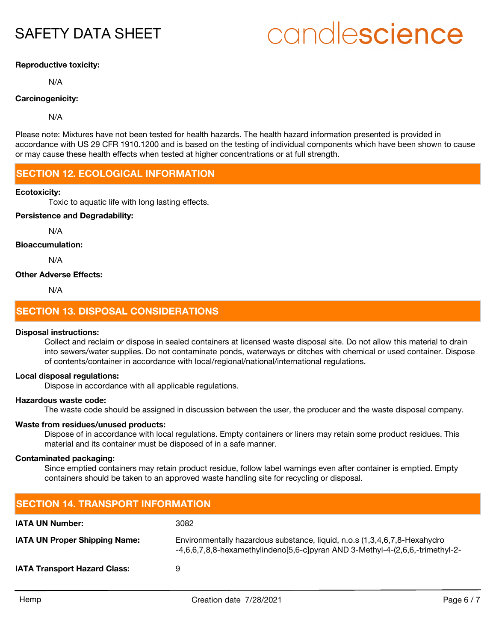# candlescience

## **Reproductive toxicity:**

N/A

## **Carcinogenicity:**

N/A

Please note: Mixtures have not been tested for health hazards. The health hazard information presented is provided in accordance with US 29 CFR 1910.1200 and is based on the testing of individual components which have been shown to cause or may cause these health effects when tested at higher concentrations or at full strength.

## **SECTION 12. ECOLOGICAL INFORMATION**

#### **Ecotoxicity:**

Toxic to aquatic life with long lasting effects.

## **Persistence and Degradability:**

N/A

## **Bioaccumulation:**

N/A

#### **Other Adverse Effects:**

N/A

## **SECTION 13. DISPOSAL CONSIDERATIONS**

#### **Disposal instructions:**

Collect and reclaim or dispose in sealed containers at licensed waste disposal site. Do not allow this material to drain into sewers/water supplies. Do not contaminate ponds, waterways or ditches with chemical or used container. Dispose of contents/container in accordance with local/regional/national/international regulations.

#### **Local disposal regulations:**

Dispose in accordance with all applicable regulations.

## **Hazardous waste code:**

The waste code should be assigned in discussion between the user, the producer and the waste disposal company.

## **Waste from residues/unused products:**

Dispose of in accordance with local regulations. Empty containers or liners may retain some product residues. This material and its container must be disposed of in a safe manner.

#### **Contaminated packaging:**

Since emptied containers may retain product residue, follow label warnings even after container is emptied. Empty containers should be taken to an approved waste handling site for recycling or disposal.

## **SECTION 14. TRANSPORT INFORMATION IATA UN Number:** 3082 Environmentally hazardous substance, liquid, n.o.s (1,3,4,6,7,8-Hexahydro -4,6,6,7,8,8-hexamethylindeno[5,6-c]pyran AND 3-Methyl-4-(2,6,6,-trimethyl-2- **IATA UN Proper Shipping Name: IATA Transport Hazard Class:** 9